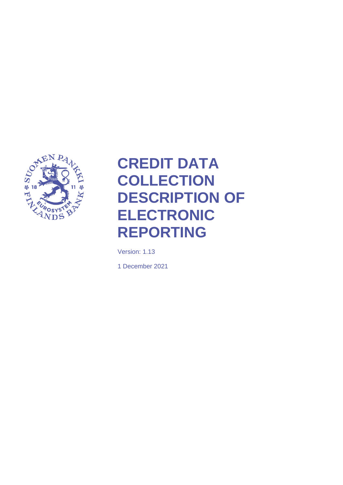

# <span id="page-0-0"></span>**CREDIT DATA COLLECTION DESCRIPTION OF ELECTRONIC REPORTING**

Version: 1.13

1 December 2021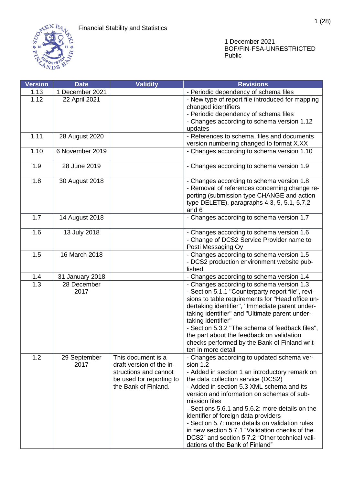

| <b>Version</b>    | <b>Date</b>     | <b>Validity</b>          | <b>Revisions</b>                                                                                      |
|-------------------|-----------------|--------------------------|-------------------------------------------------------------------------------------------------------|
| 1.13              | 1 December 2021 |                          | - Periodic dependency of schema files                                                                 |
| 1.12              | 22 April 2021   |                          | - New type of report file introduced for mapping                                                      |
|                   |                 |                          | changed identifiers                                                                                   |
|                   |                 |                          | - Periodic dependency of schema files                                                                 |
|                   |                 |                          | - Changes according to schema version 1.12                                                            |
|                   |                 |                          | updates                                                                                               |
| 1.11              | 28 August 2020  |                          | - References to schema, files and documents                                                           |
|                   |                 |                          | version numbering changed to format X.XX                                                              |
| 1.10              | 6 November 2019 |                          | - Changes according to schema version 1.10                                                            |
| 1.9               | 28 June 2019    |                          | - Changes according to schema version 1.9                                                             |
| 1.8               | 30 August 2018  |                          | - Changes according to schema version 1.8                                                             |
|                   |                 |                          | - Removal of references concerning change re-                                                         |
|                   |                 |                          | porting (submission type CHANGE and action                                                            |
|                   |                 |                          | type DELETE), paragraphs 4.3, 5, 5.1, 5.7.2                                                           |
|                   |                 |                          | and 6                                                                                                 |
| 1.7               | 14 August 2018  |                          | - Changes according to schema version 1.7                                                             |
| 1.6               | 13 July 2018    |                          | - Changes according to schema version 1.6                                                             |
|                   |                 |                          | - Change of DCS2 Service Provider name to                                                             |
|                   |                 |                          | Posti Messaging Oy                                                                                    |
| 1.5               | 16 March 2018   |                          | - Changes according to schema version 1.5                                                             |
|                   |                 |                          | - DCS2 production environment website pub-                                                            |
|                   |                 |                          | lished                                                                                                |
| 1.4               | 31 January 2018 |                          | - Changes according to schema version 1.4                                                             |
| $\overline{1}$ .3 | 28 December     |                          | - Changes according to schema version 1.3                                                             |
|                   | 2017            |                          | - Section 5.1.1 "Counterparty report file", revi-<br>sions to table requirements for "Head office un- |
|                   |                 |                          | dertaking identifier", "Immediate parent under-                                                       |
|                   |                 |                          | taking identifier" and "Ultimate parent under-                                                        |
|                   |                 |                          | taking identifier"                                                                                    |
|                   |                 |                          | - Section 5.3.2 "The schema of feedback files",                                                       |
|                   |                 |                          | the part about the feedback on validation                                                             |
|                   |                 |                          | checks performed by the Bank of Finland writ-                                                         |
|                   |                 |                          | ten in more detail                                                                                    |
| 1.2               | 29 September    | This document is a       | - Changes according to updated schema ver-                                                            |
|                   | 2017            | draft version of the in- | sion $1.2$                                                                                            |
|                   |                 | structions and cannot    | - Added in section 1 an introductory remark on                                                        |
|                   |                 | be used for reporting to | the data collection service (DCS2)                                                                    |
|                   |                 | the Bank of Finland.     | - Added in section 5.3 XML schema and its                                                             |
|                   |                 |                          | version and information on schemas of sub-                                                            |
|                   |                 |                          | mission files                                                                                         |
|                   |                 |                          | - Sections 5.6.1 and 5.6.2: more details on the                                                       |
|                   |                 |                          | identifier of foreign data providers                                                                  |
|                   |                 |                          | - Section 5.7: more details on validation rules                                                       |
|                   |                 |                          | in new section 5.7.1 "Validation checks of the                                                        |
|                   |                 |                          | DCS2" and section 5.7.2 "Other technical vali-                                                        |
|                   |                 |                          | dations of the Bank of Finland"                                                                       |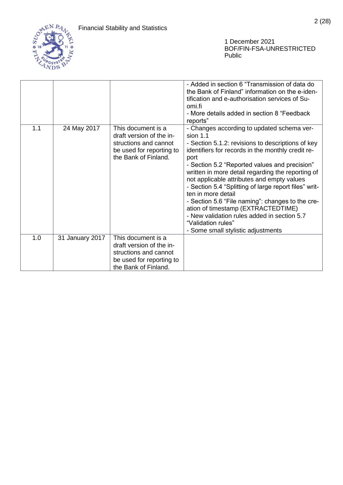

|     |                 |                                                                                                                             | - Added in section 6 "Transmission of data do<br>the Bank of Finland" information on the e-iden-<br>tification and e-authorisation services of Su-<br>omi.fi<br>- More details added in section 8 "Feedback<br>reports"                                                                                                                                                                                                                                                                                                                                                                                            |
|-----|-----------------|-----------------------------------------------------------------------------------------------------------------------------|--------------------------------------------------------------------------------------------------------------------------------------------------------------------------------------------------------------------------------------------------------------------------------------------------------------------------------------------------------------------------------------------------------------------------------------------------------------------------------------------------------------------------------------------------------------------------------------------------------------------|
| 1.1 | 24 May 2017     | This document is a<br>draft version of the in-<br>structions and cannot<br>be used for reporting to<br>the Bank of Finland. | - Changes according to updated schema ver-<br>sion $1.1$<br>- Section 5.1.2: revisions to descriptions of key<br>identifiers for records in the monthly credit re-<br>port<br>- Section 5.2 "Reported values and precision"<br>written in more detail regarding the reporting of<br>not applicable attributes and empty values<br>- Section 5.4 "Splitting of large report files" writ-<br>ten in more detail<br>- Section 5.6 "File naming": changes to the cre-<br>ation of timestamp (EXTRACTEDTIME)<br>- New validation rules added in section 5.7<br>"Validation rules"<br>- Some small stylistic adjustments |
| 1.0 | 31 January 2017 | This document is a                                                                                                          |                                                                                                                                                                                                                                                                                                                                                                                                                                                                                                                                                                                                                    |
|     |                 | draft version of the in-                                                                                                    |                                                                                                                                                                                                                                                                                                                                                                                                                                                                                                                                                                                                                    |
|     |                 | structions and cannot                                                                                                       |                                                                                                                                                                                                                                                                                                                                                                                                                                                                                                                                                                                                                    |
|     |                 | be used for reporting to                                                                                                    |                                                                                                                                                                                                                                                                                                                                                                                                                                                                                                                                                                                                                    |
|     |                 | the Bank of Finland.                                                                                                        |                                                                                                                                                                                                                                                                                                                                                                                                                                                                                                                                                                                                                    |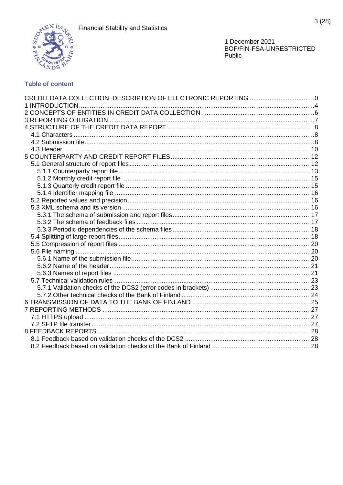

# **Table of content**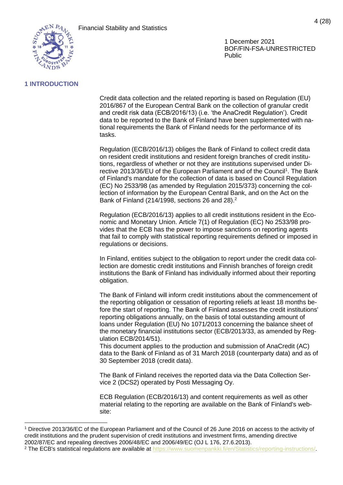

# <span id="page-4-0"></span>**1 INTRODUCTION**

Credit data collection and the related reporting is based on Regulation (EU) 2016/867 of the European Central Bank on the collection of granular credit and credit risk data (ECB/2016/13) (i.e. 'the AnaCredit Regulation'). Credit data to be reported to the Bank of Finland have been supplemented with national requirements the Bank of Finland needs for the performance of its tasks.

Regulation (ECB/2016/13) obliges the Bank of Finland to collect credit data on resident credit institutions and resident foreign branches of credit institutions, regardless of whether or not they are institutions supervised under Directive 2013/36/EU of the European Parliament and of the Council<sup>1</sup>. The Bank of Finland's mandate for the collection of data is based on Council Regulation (EC) No 2533/98 (as amended by Regulation 2015/373) concerning the collection of information by the European Central Bank, and on the Act on the Bank of Finland (214/1998, sections 26 and 28).<sup>2</sup>

Regulation (ECB/2016/13) applies to all credit institutions resident in the Economic and Monetary Union. Article 7(1) of Regulation (EC) No 2533/98 provides that the ECB has the power to impose sanctions on reporting agents that fail to comply with statistical reporting requirements defined or imposed in regulations or decisions.

In Finland, entities subject to the obligation to report under the credit data collection are domestic credit institutions and Finnish branches of foreign credit institutions the Bank of Finland has individually informed about their reporting obligation.

The Bank of Finland will inform credit institutions about the commencement of the reporting obligation or cessation of reporting reliefs at least 18 months before the start of reporting. The Bank of Finland assesses the credit institutions' reporting obligations annually, on the basis of total outstanding amount of loans under Regulation (EU) No 1071/2013 concerning the balance sheet of the monetary financial institutions sector (ECB/2013/33, as amended by Regulation ECB/2014/51).

This document applies to the production and submission of AnaCredit (AC) data to the Bank of Finland as of 31 March 2018 (counterparty data) and as of 30 September 2018 (credit data).

The Bank of Finland receives the reported data via the Data Collection Service 2 (DCS2) operated by Posti Messaging Oy.

ECB Regulation (ECB/2016/13) and content requirements as well as other material relating to the reporting are available on the Bank of Finland's website:

<sup>1</sup> Directive 2013/36/EC of the European Parliament and of the Council of 26 June 2016 on access to the activity of credit institutions and the prudent supervision of credit institutions and investment firms, amending directive 2002/87/EC and repealing directives 2006/48/EC and 2006/49/EC (OJ L 176, 27.6.2013).

<sup>&</sup>lt;sup>2</sup> The ECB's statistical regulations are available at [https://www.suomenpankki.fi/en/Statistics/reporting-instructions/.](https://www.suomenpankki.fi/en/Statistics/reporting-instructions/)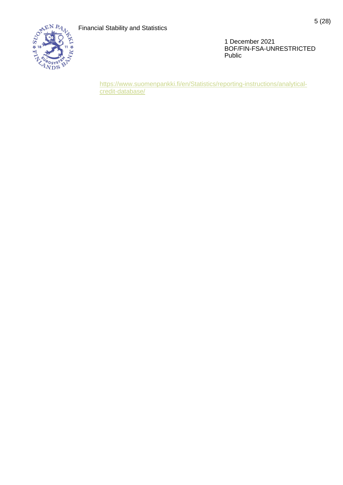

[https://www.suomenpankki.fi/en/Statistics/reporting-instructions/analytical](https://www.suomenpankki.fi/en/Statistics/reporting-instructions/analytical-credit-database/)[credit-database/](https://www.suomenpankki.fi/en/Statistics/reporting-instructions/analytical-credit-database/)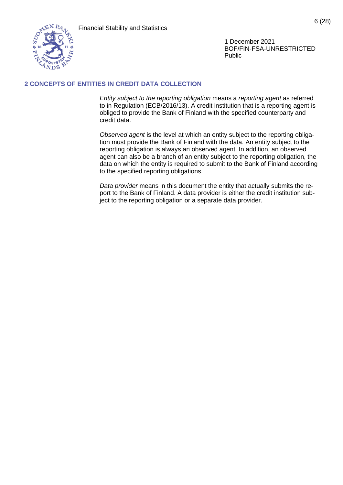

# <span id="page-6-0"></span>**2 CONCEPTS OF ENTITIES IN CREDIT DATA COLLECTION**

*Entity subject to the reporting obligation* means a *reporting agent* as referred to in Regulation (ECB/2016/13). A credit institution that is a reporting agent is obliged to provide the Bank of Finland with the specified counterparty and credit data.

*Observed agent* is the level at which an entity subject to the reporting obligation must provide the Bank of Finland with the data. An entity subject to the reporting obligation is always an observed agent. In addition, an observed agent can also be a branch of an entity subject to the reporting obligation, the data on which the entity is required to submit to the Bank of Finland according to the specified reporting obligations.

*Data provider* means in this document the entity that actually submits the report to the Bank of Finland. A data provider is either the credit institution subject to the reporting obligation or a separate data provider.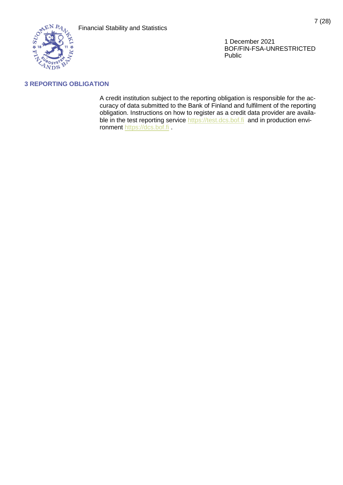

# <span id="page-7-0"></span>**3 REPORTING OBLIGATION**

A credit institution subject to the reporting obligation is responsible for the accuracy of data submitted to the Bank of Finland and fulfilment of the reporting obligation. Instructions on how to register as a credit data provider are available in the test reporting service [https://test.dcs.bof.fi](https://test.dcs.bof.fi/) and in production environment [https://dcs.bof.fi](https://dcs.bof.fi/) .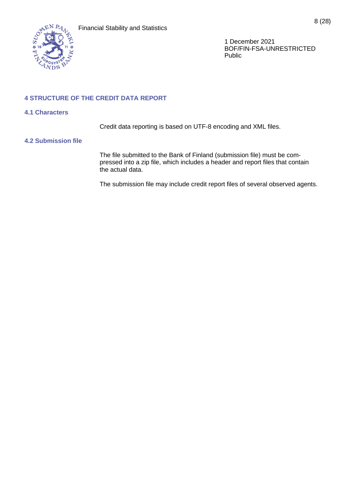

# <span id="page-8-0"></span>**4 STRUCTURE OF THE CREDIT DATA REPORT**

#### <span id="page-8-1"></span>**4.1 Characters**

Credit data reporting is based on UTF-8 encoding and XML files.

#### <span id="page-8-2"></span>**4.2 Submission file**

The file submitted to the Bank of Finland (submission file) must be compressed into a zip file, which includes a header and report files that contain the actual data.

The submission file may include credit report files of several observed agents.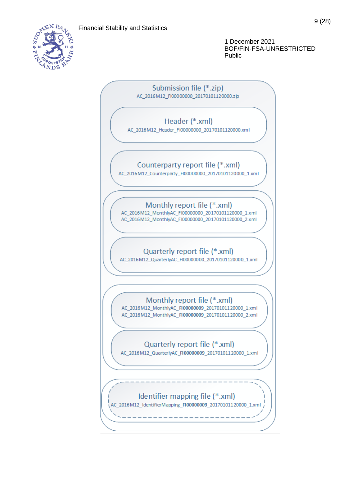

Submission file (\*.zip) AC\_2016M12\_FI00000000\_20170101120000.zip

# Header (\*.xml)

AC 2016M12 Header FI00000000 20170101120000.xml

# Counterparty report file (\*.xml)

AC 2016M12 Counterparty FI00000000 20170101120000 1.xml

# Monthly report file (\*.xml)

AC 2016M12 MonthlyAC FI00000000 20170101120000 1.xml AC\_2016M12\_MonthlyAC\_FI00000000\_20170101120000\_2.xml

# Quarterly report file (\*.xml)

AC\_2016M12\_QuarterlyAC\_Fl00000000\_20170101120000\_1.xml

# Monthly report file (\*.xml)

AC\_2016M12\_MonthlyAC\_FI00000009\_20170101120000\_1.xml AC\_2016M12\_MonthlyAC\_FI00000009\_20170101120000\_2.xml

# Quarterly report file (\*.xml)

AC\_2016M12\_QuarterlyAC\_FI00000009\_20170101120000\_1.xml

# Identifier mapping file (\*.xml)

AC\_2016M12\_IdentifierMapping\_FI00000009\_20170101120000\_1.xml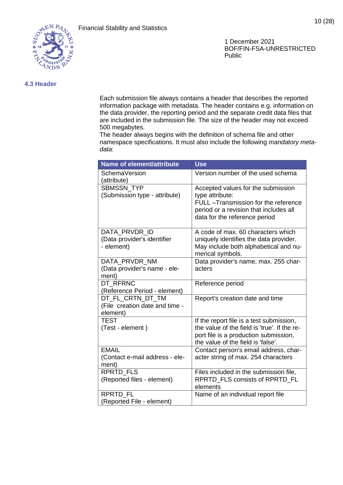

10 (28)

## <span id="page-10-0"></span>**4.3 Header**

Each submission file always contains a header that describes the reported information package with metadata. The header contains e.g. information on the data provider, the reporting period and the separate credit data files that are included in the submission file. The size of the header may not exceed 500 megabytes.

The header always begins with the definition of schema file and other namespace specifications. It must also include the following *mandatory metadata*:

| Name of element/attribute                          | <b>Use</b>                                                              |
|----------------------------------------------------|-------------------------------------------------------------------------|
| <b>SchemaVersion</b><br>(attribute)                | Version number of the used schema                                       |
| <b>SBMSSN TYP</b>                                  | Accepted values for the submission                                      |
| (Submission type - attribute)                      | type attribute:                                                         |
|                                                    | FULL -Transmission for the reference                                    |
|                                                    | period or a revision that includes all<br>data for the reference period |
|                                                    |                                                                         |
| DATA_PRVDR_ID                                      | A code of max. 60 characters which                                      |
| (Data provider's identifier                        | uniquely identifies the data provider.                                  |
| - element)                                         | May include both alphabetical and nu-<br>merical symbols.               |
| DATA PRVDR NM                                      | Data provider's name, max. 255 char-                                    |
| (Data provider's name - ele-                       | acters                                                                  |
| ment)                                              |                                                                         |
| DT RFRNC                                           | Reference period                                                        |
| (Reference Period - element)                       |                                                                         |
| DT FL CRTN DT TM<br>(File creation date and time - | Report's creation date and time                                         |
| element)                                           |                                                                         |
| <b>TEST</b>                                        | If the report file is a test submission,                                |
| (Test - element)                                   | the value of the field is 'true'. If the re-                            |
|                                                    | port file is a production submission,                                   |
|                                                    | the value of the field is 'false'.                                      |
| <b>EMAIL</b>                                       | Contact person's email address, char-                                   |
| (Contact e-mail address - ele-<br>ment)            | acter string of max. 254 characters                                     |
| RPRTD_FLS                                          | Files included in the submission file,                                  |
| (Reported files - element)                         | RPRTD_FLS consists of RPRTD_FL                                          |
|                                                    | elements                                                                |
| <b>RPRTD FL</b>                                    | Name of an individual report file                                       |
| (Reported File - element)                          |                                                                         |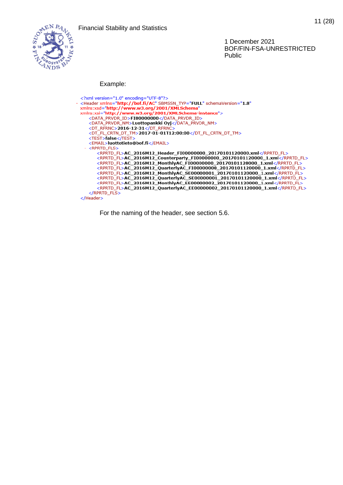

# Example:

| xml version="1.0" encoding="UTF-8"?                                                         |
|---------------------------------------------------------------------------------------------|
| <header <="" sbmssn_typ="FULL" schemaversion="1.8" td="" xmlns="http://bof.fi/AC"></header> |
| xmlns:xsd="http://www.w3.org/2001/XMLSchema"                                                |
| xmlns:xsi="http://www.w3.org/2001/XMLSchema-instance">                                      |
| <data id="" prvdr="">FI00000000</data>                                                      |
| <data_prvdr_nm>Luottopankki Oyj</data_prvdr_nm>                                             |
| <dt rfrnc="">2016-12-31</dt>                                                                |
| <dt_fl_crtn_dt_tm>2017-01-01T12:00:00</dt_fl_crtn_dt_tm>                                    |
| <test>false</test>                                                                          |
| <email>luottotieto@bof.fi</email>                                                           |
| - <rprtd fls=""></rprtd>                                                                    |
| <rprtd fl="">AC 2016M12 Header FI00000000 20170101120000.xml</rprtd>                        |
| <rprtd_fl>AC_2016M12_Counterparty_FI00000000_20170101120000_1.xml</rprtd_fl>                |
| <rprtd_fl>AC_2016M12_MonthlyAC_FI00000000_20170101120000_1.xml</rprtd_fl>                   |
| <rprtd_fl>AC_2016M12_QuarterlyAC_FI00000000_20170101120000_1.xml</rprtd_fl>                 |
| <rprtd_fl>AC_2016M12_MonthlyAC_SE00000001_20170101120000_1.xml</rprtd_fl>                   |
| <rprtd_fl>AC_2016M12_QuarterlyAC_SE00000001_20170101120000_1.xml</rprtd_fl>                 |
| <rprtd_fl>AC_2016M12_MonthlyAC_EE00000002_20170101120000_1.xml</rprtd_fl>                   |
| <rprtd_fl>AC_2016M12_QuarterlyAC_EE00000002_20170101120000_1.xml</rprtd_fl>                 |
| $<$ /RPRTD FLS $>$                                                                          |
| $<$ /Header $>$                                                                             |

For the naming of the header, see section [5.6.](#page-20-1)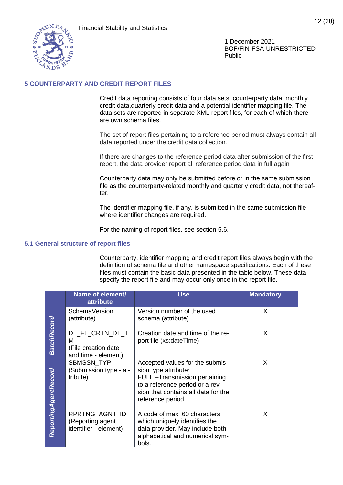

12 (28)

1 December 2021 BOF/FIN-FSA-UNRESTRICTED Public

# <span id="page-12-0"></span>**5 COUNTERPARTY AND CREDIT REPORT FILES**

Credit data reporting consists of four data sets: counterparty data, monthly credit data,quarterly credit data and a potential identifier mapping file. The data sets are reported in separate XML report files, for each of which there are own schema files.

The set of report files pertaining to a reference period must always contain all data reported under the credit data collection.

If there are changes to the reference period data after submission of the first report, the data provider report all reference period data in full again

Counterparty data may only be submitted before or in the same submission file as the counterparty-related monthly and quarterly credit data, not thereafter.

The identifier mapping file, if any, is submitted in the same submission file where identifier changes are required.

For the naming of report files, see section [5.6.](#page-20-1)

#### <span id="page-12-1"></span>**5.1 General structure of report files**

Counterparty, identifier mapping and credit report files always begin with the definition of schema file and other namespace specifications. Each of these files must contain the basic data presented in the table below. These data specify the report file and may occur only once in the report file.

|                      | Name of element/<br><b>attribute</b>                               | <b>Use</b>                                                                                                                                                                              | <b>Mandatory</b> |
|----------------------|--------------------------------------------------------------------|-----------------------------------------------------------------------------------------------------------------------------------------------------------------------------------------|------------------|
|                      | SchemaVersion<br>(attribute)                                       | Version number of the used<br>schema (attribute)                                                                                                                                        | X.               |
| <b>BatchRecord</b>   | DT_FL_CRTN_DT_T<br>м<br>(File creation date<br>and time - element) | Creation date and time of the re-<br>port file (xs:dateTime)                                                                                                                            | X                |
| ReportingAgentRecord | SBMSSN_TYP<br>(Submission type - at-<br>tribute)                   | Accepted values for the submis-<br>sion type attribute:<br>FULL -Transmission pertaining<br>to a reference period or a revi-<br>sion that contains all data for the<br>reference period | X                |
|                      | RPRTNG AGNT ID<br>(Reporting agent<br>identifier - element)        | A code of max. 60 characters<br>which uniquely identifies the<br>data provider. May include both<br>alphabetical and numerical sym-<br>bols.                                            | X                |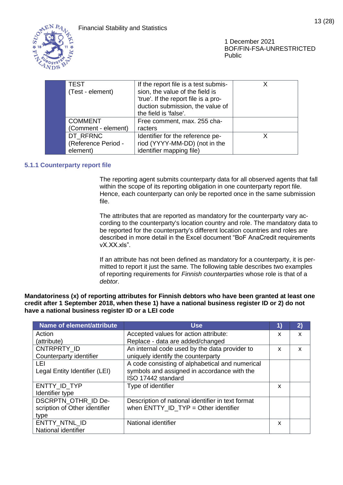

| <b>TEST</b>         | If the report file is a test submis- |   |
|---------------------|--------------------------------------|---|
| (Test - element)    | sion, the value of the field is      |   |
|                     | 'true'. If the report file is a pro- |   |
|                     | duction submission, the value of     |   |
|                     | the field is 'false'.                |   |
| <b>COMMENT</b>      | Free comment, max. 255 cha-          |   |
| (Comment - element) | racters                              |   |
| DT RFRNC            | Identifier for the reference pe-     | x |
| (Reference Period - | riod (YYYY-MM-DD) (not in the        |   |
| element)            | identifier mapping file)             |   |
|                     |                                      |   |

# <span id="page-13-0"></span>**5.1.1 Counterparty report file**

The reporting agent submits counterparty data for all observed agents that fall within the scope of its reporting obligation in one counterparty report file. Hence, each counterparty can only be reported once in the same submission file.

The attributes that are reported as mandatory for the counterparty vary according to the counterparty's location country and role. The mandatory data to be reported for the counterparty's different location countries and roles are described in more detail in the Excel document "BoF AnaCredit requirements vX.XX.xls".

If an attribute has not been defined as mandatory for a counterparty, it is permitted to report it just the same. The following table describes two examples of reporting requirements for *Finnish counterparties* whose role is that of a *debtor*.

**Mandatoriness (x) of reporting attributes for Finnish debtors who have been granted at least one credit after 1 September 2018, when these 1) have a national business register ID or 2) do not have a national business register ID or a LEI code**

| Name of element/attribute     | <b>Use</b>                                        | 1) | 2) |
|-------------------------------|---------------------------------------------------|----|----|
| Action                        | Accepted values for action attribute:             | x  | X  |
| (attribute)                   | Replace - data are added/changed                  |    |    |
| CNTRPRTY ID                   | An internal code used by the data provider to     | X  | X  |
| Counterparty identifier       | uniquely identify the counterparty                |    |    |
| LEL                           | A code consisting of alphabetical and numerical   |    |    |
| Legal Entity Identifier (LEI) | symbols and assigned in accordance with the       |    |    |
|                               | ISO 17442 standard                                |    |    |
| ENTTY ID TYP                  | Type of identifier                                | x  |    |
| Identifier type               |                                                   |    |    |
| DSCRPTN_OTHR_ID De-           | Description of national identifier in text format |    |    |
| scription of Other identifier | when $ENTTY$ ID $TYP = Other$ identifier          |    |    |
| type                          |                                                   |    |    |
| ENTTY_NTNL_ID                 | National identifier                               | x  |    |
| National identifier           |                                                   |    |    |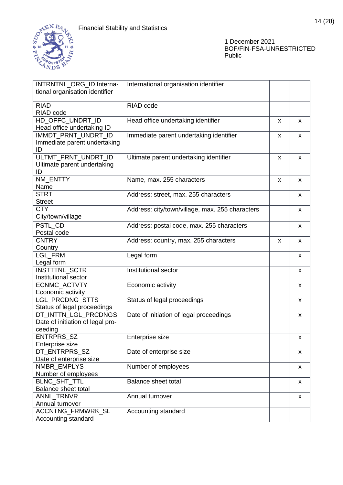

| International organisation identifier<br>INTRNTNL_ORG_ID Interna- |   |   |
|-------------------------------------------------------------------|---|---|
| tional organisation identifier                                    |   |   |
|                                                                   |   |   |
| <b>RIAD</b><br>RIAD code                                          |   |   |
| RIAD code                                                         |   |   |
| HD_OFFC_UNDRT_ID<br>Head office undertaking identifier            | x | X |
| Head office undertaking ID                                        |   |   |
| IMMDT_PRNT_UNDRT_ID<br>Immediate parent undertaking identifier    | x | X |
| Immediate parent undertaking                                      |   |   |
| ID                                                                |   |   |
| ULTMT_PRNT_UNDRT_ID<br>Ultimate parent undertaking identifier     | X | X |
| Ultimate parent undertaking                                       |   |   |
| ID                                                                |   |   |
| NM_ENTTY<br>Name, max. 255 characters                             | X | X |
| Name                                                              |   |   |
| <b>STRT</b><br>Address: street, max. 255 characters               |   | X |
| <b>Street</b>                                                     |   |   |
| <b>CTY</b><br>Address: city/town/village, max. 255 characters     |   | X |
| City/town/village                                                 |   |   |
| PSTL CD<br>Address: postal code, max. 255 characters              |   | x |
| Postal code                                                       |   |   |
| <b>CNTRY</b><br>Address: country, max. 255 characters             | X | X |
| Country                                                           |   |   |
| <b>LGL FRM</b><br>Legal form                                      |   | X |
| Legal form                                                        |   |   |
| <b>INSTTTNL SCTR</b><br>Institutional sector                      |   | X |
| Institutional sector                                              |   |   |
| ECNMC_ACTVTY<br>Economic activity                                 |   | X |
| Economic activity                                                 |   |   |
| LGL_PRCDNG_STTS<br>Status of legal proceedings                    |   | X |
| Status of legal proceedings                                       |   |   |
| DT_INTTN_LGL_PRCDNGS<br>Date of initiation of legal proceedings   |   | x |
| Date of initiation of legal pro-                                  |   |   |
| ceeding                                                           |   |   |
| ENTRPRS_SZ<br>Enterprise size                                     |   | X |
| Enterprise size                                                   |   |   |
| DT_ENTRPRS_SZ<br>Date of enterprise size                          |   | X |
| Date of enterprise size                                           |   |   |
| NMBR_EMPLYS<br>Number of employees                                |   | x |
| Number of employees                                               |   |   |
| BLNC_SHT_TTL<br><b>Balance sheet total</b>                        |   | X |
| <b>Balance sheet total</b>                                        |   |   |
| ANNL_TRNVR<br>Annual turnover                                     |   | X |
| Annual turnover                                                   |   |   |
| <b>ACCNTNG FRMWRK SL</b><br>Accounting standard                   |   |   |
| Accounting standard                                               |   |   |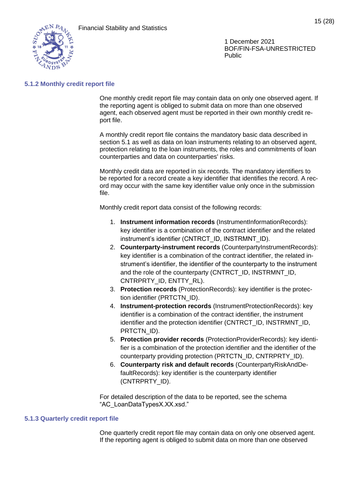

#### <span id="page-15-0"></span>**5.1.2 Monthly credit report file**

One monthly credit report file may contain data on only one observed agent. If the reporting agent is obliged to submit data on more than one observed agent, each observed agent must be reported in their own monthly credit report file.

A monthly credit report file contains the mandatory basic data described in section [5.1](#page-12-1) as well as data on loan instruments relating to an observed agent, protection relating to the loan instruments, the roles and commitments of loan counterparties and data on counterparties' risks.

Monthly credit data are reported in six records. The mandatory identifiers to be reported for a record create a key identifier that identifies the record. A record may occur with the same key identifier value only once in the submission file.

Monthly credit report data consist of the following records:

- 1. **Instrument information records** (InstrumentInformationRecords): key identifier is a combination of the contract identifier and the related instrument's identifier (CNTRCT\_ID, INSTRMNT\_ID).
- 2. **Counterparty-instrument records** (CounterpartyInstrumentRecords): key identifier is a combination of the contract identifier, the related instrument's identifier, the identifier of the counterparty to the instrument and the role of the counterparty (CNTRCT\_ID, INSTRMNT\_ID, CNTRPRTY\_ID, ENTTY\_RL).
- 3. **Protection records** (ProtectionRecords): key identifier is the protection identifier (PRTCTN\_ID).
- 4. **Instrument-protection records** (InstrumentProtectionRecords): key identifier is a combination of the contract identifier, the instrument identifier and the protection identifier (CNTRCT\_ID, INSTRMNT\_ID, PRTCTN\_ID).
- 5. **Protection provider records** (ProtectionProviderRecords): key identifier is a combination of the protection identifier and the identifier of the counterparty providing protection (PRTCTN\_ID, CNTRPRTY\_ID).
- 6. **Counterparty risk and default records** (CounterpartyRiskAndDefaultRecords): key identifier is the counterparty identifier (CNTRPRTY\_ID).

For detailed description of the data to be reported, see the schema "AC\_LoanDataTypesX.XX.xsd."

#### <span id="page-15-1"></span>**5.1.3 Quarterly credit report file**

One quarterly credit report file may contain data on only one observed agent. If the reporting agent is obliged to submit data on more than one observed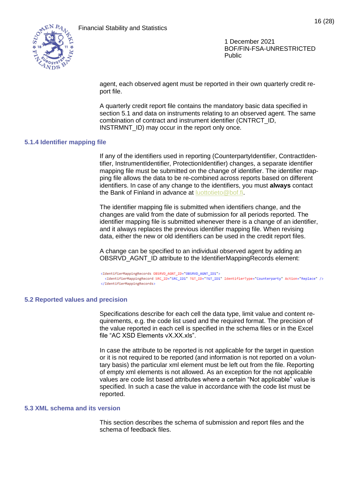

agent, each observed agent must be reported in their own quarterly credit report file.

A quarterly credit report file contains the mandatory basic data specified in section [5.1](#page-12-1) and data on instruments relating to an observed agent. The same combination of contract and instrument identifier (CNTRCT\_ID, INSTRMNT\_ID) may occur in the report only once.

#### <span id="page-16-0"></span>**5.1.4 Identifier mapping file**

If any of the identifiers used in reporting (CounterpartyIdentifier, ContractIdentifier, InstrumentIdentifier, ProtectionIdentifier) changes, a separate identifier mapping file must be submitted on the change of identifier. The identifier mapping file allows the data to be re-combined across reports based on different identifiers. In case of any change to the identifiers, you must **always** contact the Bank of Finland in advance at [luottotieto@bof.fi.](mailto:luottotieto@bof.fi)

The identifier mapping file is submitted when identifiers change, and the changes are valid from the date of submission for all periods reported. The identifier mapping file is submitted whenever there is a change of an identifier, and it always replaces the previous identifier mapping file. When revising data, either the new or old identifiers can be used in the credit report files.

A change can be specified to an individual observed agent by adding an OBSRVD\_AGNT\_ID attribute to the IdentifierMappingRecords element:

<IdentifierMappingRecords OBSRVD\_AGNT\_ID="OBSRVD\_AGNT\_ID1"> <IdentifierMappingRecord SRC\_ID="SRC\_ID1" TGT\_ID="TGT\_ID1" IdentifierType="Counterparty" Action="Replace" /> </IdentifierMappingRecords>

#### <span id="page-16-1"></span>**5.2 Reported values and precision**

Specifications describe for each cell the data type, limit value and content requirements, e.g. the code list used and the required format. The precision of the value reported in each cell is specified in the schema files or in the Excel file "AC XSD Elements vX.XX.xls".

In case the attribute to be reported is not applicable for the target in question or it is not required to be reported (and information is not reported on a voluntary basis) the particular xml element must be left out from the file. Reporting of empty xml elements is not allowed. As an exception for the not applicable values are code list based attributes where a certain "Not applicable" value is specified. In such a case the value in accordance with the code list must be reported.

#### <span id="page-16-2"></span>**5.3 XML schema and its version**

This section describes the schema of submission and report files and the schema of feedback files.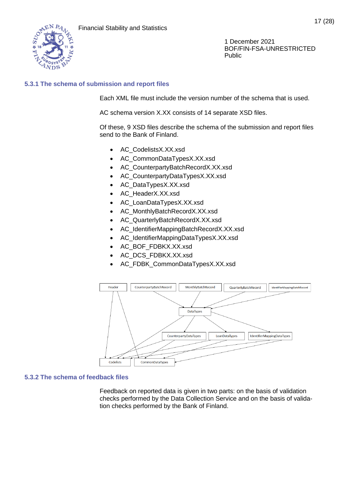

# <span id="page-17-0"></span>**5.3.1 The schema of submission and report files**

Each XML file must include the version number of the schema that is used.

AC schema version X.XX consists of 14 separate XSD files.

Of these, 9 XSD files describe the schema of the submission and report files send to the Bank of Finland.

- AC\_CodelistsX.XX.xsd
- AC\_CommonDataTypesX.XX.xsd
- AC\_CounterpartyBatchRecordX.XX.xsd
- AC\_CounterpartyDataTypesX.XX.xsd
- AC\_DataTypesX.XX.xsd
- AC\_HeaderX.XX.xsd
- AC\_LoanDataTypesX.XX.xsd
- AC\_MonthlyBatchRecordX.XX.xsd
- AC\_QuarterlyBatchRecordX.XX.xsd
- AC IdentifierMappingBatchRecordX.XX.xsd
- AC\_IdentifierMappingDataTypesX.XX.xsd
- AC\_BOF\_FDBKX.XX.xsd
- AC\_DCS\_FDBKX.XX.xsd
- AC\_FDBK\_CommonDataTypesX.XX.xsd



# <span id="page-17-1"></span>**5.3.2 The schema of feedback files**

Feedback on reported data is given in two parts: on the basis of validation checks performed by the Data Collection Service and on the basis of validation checks performed by the Bank of Finland.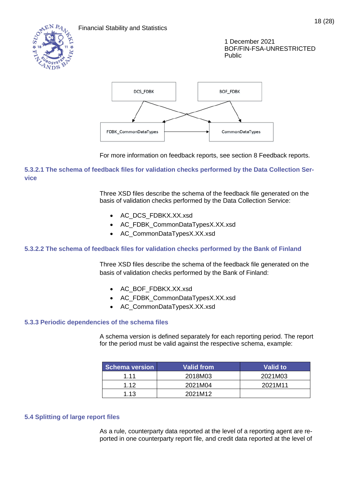



For more information on feedback reports, see section [8](#page-28-0) Feedback reports.

# **5.3.2.1 The schema of feedback files for validation checks performed by the Data Collection Service**

Three XSD files describe the schema of the feedback file generated on the basis of validation checks performed by the Data Collection Service:

- AC\_DCS\_FDBKX.XX.xsd
- AC\_FDBK\_CommonDataTypesX.XX.xsd
- AC\_CommonDataTypesX.XX.xsd

# **5.3.2.2 The schema of feedback files for validation checks performed by the Bank of Finland**

Three XSD files describe the schema of the feedback file generated on the basis of validation checks performed by the Bank of Finland:

- AC\_BOF\_FDBKX.XX.xsd
- AC\_FDBK\_CommonDataTypesX.XX.xsd
- AC\_CommonDataTypesX.XX.xsd

# <span id="page-18-0"></span>**5.3.3 Periodic dependencies of the schema files**

A schema version is defined separately for each reporting period. The report for the period must be valid against the respective schema, example:

| <b>Schema version</b> | Valid from | Valid to |
|-----------------------|------------|----------|
| 1.11                  | 2018M03    | 2021M03  |
| 1 1 2                 | 2021M04    | 2021M11  |
| 1.13                  | 2021M12    |          |

# <span id="page-18-1"></span>**5.4 Splitting of large report files**

As a rule, counterparty data reported at the level of a reporting agent are reported in one counterparty report file, and credit data reported at the level of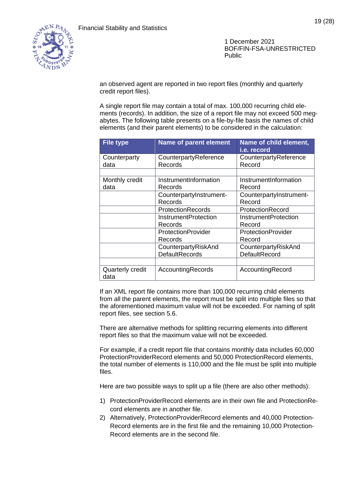

an observed agent are reported in two report files (monthly and quarterly credit report files).

A single report file may contain a total of max. 100,000 recurring child elements (records). In addition, the size of a report file may not exceed 500 megabytes. The following table presents on a file-by-file basis the names of child elements (and their parent elements) to be considered in the calculation:

| <b>File type</b>         | <b>Name of parent element</b> | Name of child element,<br>i.e. record |
|--------------------------|-------------------------------|---------------------------------------|
| Counterparty             | CounterpartyReference         | CounterpartyReference                 |
| data                     | Records                       | Record                                |
|                          |                               |                                       |
| Monthly credit           | InstrumentInformation         | InstrumentInformation                 |
| data                     | Records                       | Record                                |
|                          | CounterpartyInstrument-       | CounterpartyInstrument-               |
|                          | Records                       | Record                                |
|                          | <b>ProtectionRecords</b>      | ProtectionRecord                      |
|                          | <b>InstrumentProtection</b>   | <b>InstrumentProtection</b>           |
|                          | Records                       | Record                                |
|                          | ProtectionProvider            | <b>ProtectionProvider</b>             |
|                          | Records                       | Record                                |
|                          | CounterpartyRiskAnd           | CounterpartyRiskAnd                   |
|                          | <b>DefaultRecords</b>         | DefaultRecord                         |
|                          |                               |                                       |
| Quarterly credit<br>data | AccountingRecords             | AccountingRecord                      |

If an XML report file contains more than 100,000 recurring child elements from all the parent elements, the report must be split into multiple files so that the aforementioned maximum value will not be exceeded. For naming of split report files, see section [5.6.](#page-20-1)

There are alternative methods for splitting recurring elements into different report files so that the maximum value will not be exceeded.

For example, if a credit report file that contains monthly data includes 60,000 ProtectionProviderRecord elements and 50,000 ProtectionRecord elements, the total number of elements is 110,000 and the file must be split into multiple files.

Here are two possible ways to split up a file (there are also other methods):

- 1) ProtectionProviderRecord elements are in their own file and ProtectionRecord elements are in another file.
- 2) Alternatively, ProtectionProviderRecord elements and 40,000 Protection-Record elements are in the first file and the remaining 10,000 Protection-Record elements are in the second file.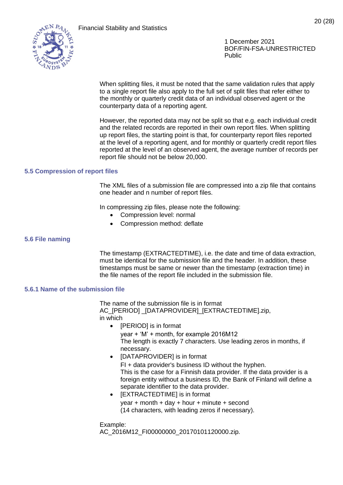

When splitting files, it must be noted that the same validation rules that apply to a single report file also apply to the full set of split files that refer either to the monthly or quarterly credit data of an individual observed agent or the counterparty data of a reporting agent.

However, the reported data may not be split so that e.g. each individual credit and the related records are reported in their own report files. When splitting up report files, the starting point is that, for counterparty report files reported at the level of a reporting agent, and for monthly or quarterly credit report files reported at the level of an observed agent, the average number of records per report file should not be below 20,000.

#### <span id="page-20-0"></span>**5.5 Compression of report files**

The XML files of a submission file are compressed into a zip file that contains one header and n number of report files.

In compressing zip files, please note the following:

- Compression level: normal
- Compression method: deflate

#### <span id="page-20-1"></span>**5.6 File naming**

The timestamp (EXTRACTEDTIME), i.e. the date and time of data extraction, must be identical for the submission file and the header. In addition, these timestamps must be same or newer than the timestamp (extraction time) in the file names of the report file included in the submission file.

#### <span id="page-20-2"></span>**5.6.1 Name of the submission file**

The name of the submission file is in format AC\_[PERIOD] \_[DATAPROVIDER]\_[EXTRACTEDTIME].zip, in which

- [PERIOD] is in format
	- year + 'M' + month, for example 2016M12 The length is exactly 7 characters. Use leading zeros in months, if necessary.
- [DATAPROVIDER] is in format FI + data provider's business ID without the hyphen. This is the case for a Finnish data provider. If the data provider is a foreign entity without a business ID, the Bank of Finland will define a separate identifier to the data provider.
- [EXTRACTEDTIME] is in format year  $+$  month  $+$  day  $+$  hour  $+$  minute  $+$  second (14 characters, with leading zeros if necessary).

Example:

AC\_2016M12\_FI00000000\_20170101120000.zip.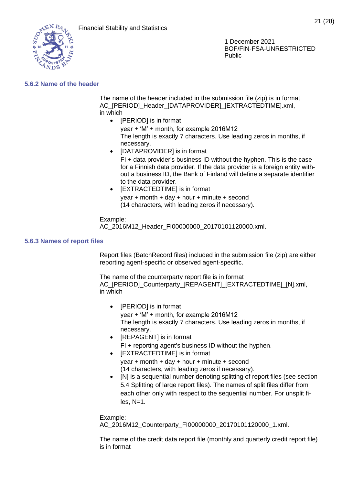

## <span id="page-21-0"></span>**5.6.2 Name of the header**

The name of the header included in the submission file (zip) is in format AC [PERIOD] Header [DATAPROVIDER] [EXTRACTEDTIME].xml, in which

- [PERIOD] is in format year + 'M' + month, for example 2016M12 The length is exactly 7 characters. Use leading zeros in months, if necessary. • [DATAPROVIDER] is in format
	- FI + data provider's business ID without the hyphen. This is the case for a Finnish data provider. If the data provider is a foreign entity without a business ID, the Bank of Finland will define a separate identifier to the data provider.
- [EXTRACTEDTIME] is in format year + month + day + hour + minute + second (14 characters, with leading zeros if necessary).

Example: AC\_2016M12\_Header\_FI00000000\_20170101120000.xml.

#### <span id="page-21-1"></span>**5.6.3 Names of report files**

Report files (BatchRecord files) included in the submission file (zip) are either reporting agent-specific or observed agent-specific.

The name of the counterparty report file is in format AC\_[PERIOD]\_Counterparty\_[REPAGENT]\_[EXTRACTEDTIME]\_[N].xml, in which

- [PERIOD] is in format year + 'M' + month, for example 2016M12 The length is exactly 7 characters. Use leading zeros in months, if necessary.
- [REPAGENT] is in format FI + reporting agent's business ID without the hyphen.
- [EXTRACTEDTIME] is in format year  $+$  month  $+$  day  $+$  hour  $+$  minute  $+$  second (14 characters, with leading zeros if necessary).
- INI is a sequential number denoting splitting of report files (see section [5.4](#page-18-1) Splitting of large report files). The names of split files differ from each other only with respect to the sequential number. For unsplit fi $les. N=1.$

Example: AC\_2016M12\_Counterparty\_FI00000000\_20170101120000\_1.xml.

The name of the credit data report file (monthly and quarterly credit report file) is in format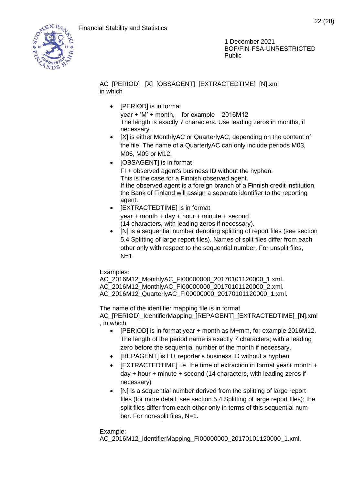

22 (28)

1 December 2021 BOF/FIN-FSA-UNRESTRICTED Public

# AC\_[PERIOD]\_ [X]\_[OBSAGENT]\_[EXTRACTEDTIME]\_[N].xml in which

• [PERIOD] is in format

year + 'M' + month, for example 2016M12 The length is exactly 7 characters. Use leading zeros in months, if necessary.

- IXI is either MonthlyAC or QuarterlyAC, depending on the content of the file. The name of a QuarterlyAC can only include periods M03, M06, M09 or M12.
- [OBSAGENT] is in format FI + observed agent's business ID without the hyphen. This is the case for a Finnish observed agent. If the observed agent is a foreign branch of a Finnish credit institution, the Bank of Finland will assign a separate identifier to the reporting agent.
- [EXTRACTEDTIME] is in format year  $+$  month  $+$  day  $+$  hour  $+$  minute  $+$  second (14 characters, with leading zeros if necessary).
- [N] is a sequential number denoting splitting of report files (see section [5.4](#page-18-1) Splitting of large report files). Names of split files differ from each other only with respect to the sequential number. For unsplit files,  $N=1$ .

Examples:

AC\_2016M12\_MonthlyAC\_FI00000000\_20170101120000\_1.xml. AC\_2016M12\_MonthlyAC\_FI00000000\_20170101120000\_2.xml. AC\_2016M12\_QuarterlyAC\_FI00000000\_20170101120000\_1.xml.

The name of the identifier mapping file is in format AC\_[PERIOD]\_IdentifierMapping\_[REPAGENT]\_[EXTRACTEDTIME]\_[N].xml , in which

- [PERIOD] is in format year + month as M+mm, for example 2016M12. The length of the period name is exactly 7 characters; with a leading zero before the sequential number of the month if necessary.
- [REPAGENT] is FI+ reporter's business ID without a hyphen
- [EXTRACTEDTIME] i.e. the time of extraction in format year+ month + day + hour + minute + second (14 characters, with leading zeros if necessary)
- [N] is a sequential number derived from the splitting of large report files (for more detail, see section [5.4](#page-18-1) Splitting of large report files); the split files differ from each other only in terms of this sequential number. For non-split files, N=1.

# Example:

AC\_2016M12\_IdentifierMapping\_FI00000000\_20170101120000\_1.xml.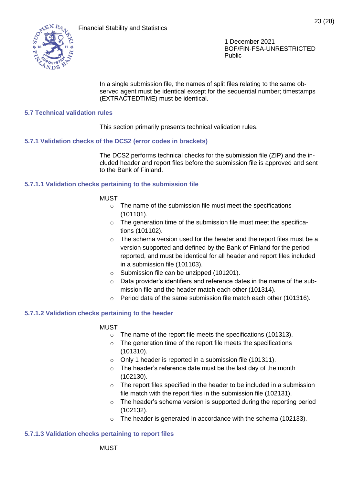

In a single submission file, the names of split files relating to the same observed agent must be identical except for the sequential number; timestamps (EXTRACTEDTIME) must be identical.

## <span id="page-23-0"></span>**5.7 Technical validation rules**

This section primarily presents technical validation rules.

#### <span id="page-23-1"></span>**5.7.1 Validation checks of the DCS2 (error codes in brackets)**

The DCS2 performs technical checks for the submission file (ZIP) and the included header and report files before the submission file is approved and sent to the Bank of Finland.

#### **5.7.1.1 Validation checks pertaining to the submission file**

#### MUST

- o The name of the submission file must meet the specifications (101101).
- o The generation time of the submission file must meet the specifications (101102).
- $\circ$  The schema version used for the header and the report files must be a version supported and defined by the Bank of Finland for the period reported, and must be identical for all header and report files included in a submission file (101103).
- o Submission file can be unzipped (101201).
- $\circ$  Data provider's identifiers and reference dates in the name of the submission file and the header match each other (101314).
- o Period data of the same submission file match each other (101316).

#### **5.7.1.2 Validation checks pertaining to the header**

#### MUST

- o The name of the report file meets the specifications (101313).
- o The generation time of the report file meets the specifications (101310).
- o Only 1 header is reported in a submission file (101311).
- $\circ$  The header's reference date must be the last day of the month (102130).
- $\circ$  The report files specified in the header to be included in a submission file match with the report files in the submission file (102131).
- o The header's schema version is supported during the reporting period (102132).
- o The header is generated in accordance with the schema (102133).

#### **5.7.1.3 Validation checks pertaining to report files**

**MUST**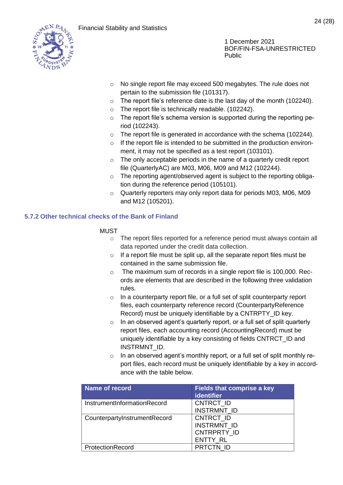

- o No single report file may exceed 500 megabytes. The rule does not pertain to the submission file (101317).
- $\circ$  The report file's reference date is the last day of the month (102240).
- o The report file is technically readable. (102242).
- o The report file's schema version is supported during the reporting period (102243).
- o The report file is generated in accordance with the schema (102244).
- o If the report file is intended to be submitted in the production environment, it may not be specified as a test report (103101).
- $\circ$  The only acceptable periods in the name of a quarterly credit report file (QuarterlyAC) are M03, M06, M09 and M12 (102244).
- o The reporting agent/observed agent is subject to the reporting obligation during the reference period (105101).
- o Quarterly reporters may only report data for periods M03, M06, M09 and M12 (105201).

# <span id="page-24-0"></span>**5.7.2 Other technical checks of the Bank of Finland**

# MUST

- o The report files reported for a reference period must always contain all data reported under the credit data collection.
- o If a report file must be split up, all the separate report files must be contained in the same submission file.
- o The maximum sum of records in a single report file is 100,000. Records are elements that are described in the following three validation rules.
- o In a counterparty report file, or a full set of split counterparty report files, each counterparty reference record (CounterpartyReference Record) must be uniquely identifiable by a CNTRPTY\_ID key.
- o In an observed agent's quarterly report, or a full set of split quarterly report files, each accounting record (AccountingRecord) must be uniquely identifiable by a key consisting of fields CNTRCT\_ID and INSTRMNT\_ID.
- o In an observed agent's monthly report, or a full set of split monthly report files, each record must be uniquely identifiable by a key in accordance with the table below.

| <b>Name of record</b>        | <b>Fields that comprise a key</b><br><b>identifier</b>     |
|------------------------------|------------------------------------------------------------|
| InstrumentInformationRecord  | CNTRCT ID<br><b>INSTRMNT ID</b>                            |
| CounterpartyInstrumentRecord | CNTRCT ID<br>INSTRMNT_ID<br>CNTRPRTY ID<br><b>ENTTY RL</b> |
| ProtectionRecord             | PRTCTN ID                                                  |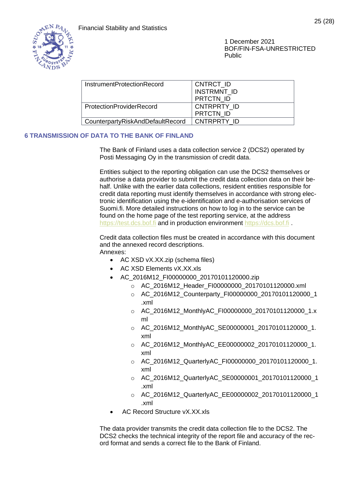

| InstrumentProtectionRecord       | CNTRCT ID          |
|----------------------------------|--------------------|
|                                  | <b>INSTRMNT ID</b> |
|                                  | <b>PRTCTN ID</b>   |
| <b>ProtectionProviderRecord</b>  | CNTRPRTY ID        |
|                                  | <b>PRTCTN ID</b>   |
| CounterpartyRiskAndDefaultRecord | CNTRPRTY ID        |
|                                  |                    |

# <span id="page-25-0"></span>**6 TRANSMISSION OF DATA TO THE BANK OF FINLAND**

The Bank of Finland uses a data collection service 2 (DCS2) operated by Posti Messaging Oy in the transmission of credit data.

Entities subject to the reporting obligation can use the DCS2 themselves or authorise a data provider to submit the credit data collection data on their behalf. Unlike with the earlier data collections, resident entities responsible for credit data reporting must identify themselves in accordance with strong electronic identification using the e-identification and e-authorisation services of Suomi.fi. More detailed instructions on how to log in to the service can be found on the home page of the test reporting service, at the address [https://test.dcs.bof.fi](https://test.dcs.bof.fi/) and in production environment [https://dcs.bof.fi](https://dcs.bof.fi/)

Credit data collection files must be created in accordance with this document and the annexed record descriptions. Annexes:

- AC XSD vX.XX.zip (schema files)
- AC XSD Elements vX.XX.xls
- AC\_2016M12\_FI00000000\_20170101120000.zip
	- o AC\_2016M12\_Header\_FI00000000\_20170101120000.xml
	- o AC\_2016M12\_Counterparty\_FI00000000\_20170101120000\_1 .xml
	- o AC\_2016M12\_MonthlyAC\_FI00000000\_20170101120000\_1.x ml
	- o AC\_2016M12\_MonthlyAC\_SE00000001\_20170101120000\_1. xml
	- o AC\_2016M12\_MonthlyAC\_EE00000002\_20170101120000\_1. xml
	- o AC\_2016M12\_QuarterlyAC\_FI00000000\_20170101120000\_1. xml
	- o AC\_2016M12\_QuarterlyAC\_SE00000001\_20170101120000\_1 .xml
	- o AC\_2016M12\_QuarterlyAC\_EE00000002\_20170101120000\_1 .xml
- AC Record Structure vX.XX.xls

The data provider transmits the credit data collection file to the DCS2. The DCS2 checks the technical integrity of the report file and accuracy of the record format and sends a correct file to the Bank of Finland.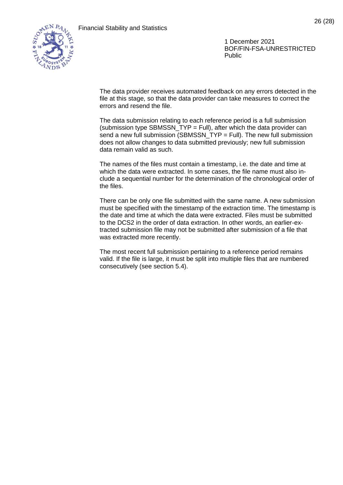

The data provider receives automated feedback on any errors detected in the file at this stage, so that the data provider can take measures to correct the errors and resend the file.

The data submission relating to each reference period is a full submission (submission type SBMSSN\_TYP = Full), after which the data provider can send a new full submission (SBMSSN\_TYP = Full). The new full submission does not allow changes to data submitted previously; new full submission data remain valid as such.

The names of the files must contain a timestamp, i.e. the date and time at which the data were extracted. In some cases, the file name must also include a sequential number for the determination of the chronological order of the files.

There can be only one file submitted with the same name. A new submission must be specified with the timestamp of the extraction time. The timestamp is the date and time at which the data were extracted. Files must be submitted to the DCS2 in the order of data extraction. In other words, an earlier-extracted submission file may not be submitted after submission of a file that was extracted more recently.

The most recent full submission pertaining to a reference period remains valid. If the file is large, it must be split into multiple files that are numbered consecutively (see section [5.4\)](#page-18-1).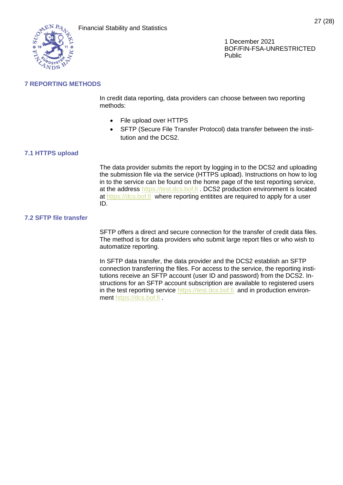

# <span id="page-27-0"></span>**7 REPORTING METHODS**

In credit data reporting, data providers can choose between two reporting methods:

- File upload over HTTPS
- SFTP (Secure File Transfer Protocol) data transfer between the institution and the DCS2.

## <span id="page-27-1"></span>**7.1 HTTPS upload**

The data provider submits the report by logging in to the DCS2 and uploading the submission file via the service (HTTPS upload). Instructions on how to log in to the service can be found on the home page of the test reporting service, at the address [https://test.dcs.bof.fi](https://test.dcs.bof.fi/) . DCS2 production environment is located at [https://dcs.bof.fi](https://dcs.bof.fi/) where reporting entitites are required to apply for a user ID.

#### <span id="page-27-2"></span>**7.2 SFTP file transfer**

SFTP offers a direct and secure connection for the transfer of credit data files. The method is for data providers who submit large report files or who wish to automatize reporting.

In SFTP data transfer, the data provider and the DCS2 establish an SFTP connection transferring the files. For access to the service, the reporting institutions receive an SFTP account (user ID and password) from the DCS2. Instructions for an SFTP account subscription are available to registered users in the test reporting service [https://test.dcs.bof.fi](https://test.dcs.bof.fi/) and in production environment [https://dcs.bof.fi](https://dcs.bof.fi/) .